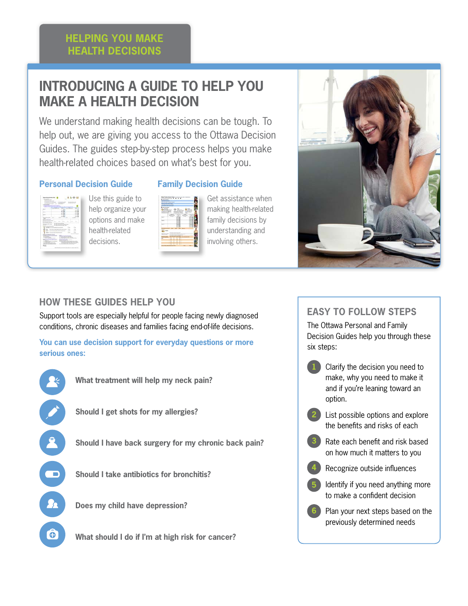# **Introducing a Guide to Help You Make a Health Decision**

We understand making health decisions can be tough. To help out, we are giving you access to the Ottawa Decision Guides. The guides step-by-step process helps you make health-related choices based on what's best for you.

#### **Personal Decision Guide**



Use this guide to help organize your options and make health-related decisions.



**Family Decision Guide**

Get assistance when making health-related family decisions by understanding and involving others.



### **How These Guides Help You**

Support tools are especially helpful for people facing newly diagnosed conditions, chronic diseases and families facing end-of-life decisions.

**You can use decision support for everyday questions or more serious ones:**



## **easy to follow steps**

The Ottawa Personal and Family Decision Guides help you through these six steps:

- Clarify the decision you need to make, why you need to make it and if you're leaning toward an option. **1**
	- List possible options and explore the benefits and risks of each **2**
	- Rate each benefit and risk based on how much it matters to you **3**
	- Recognize outside influences **4**
	- Identify if you need anything more to make a confident decision **5**
	- Plan your next steps based on the previously determined needs **6**